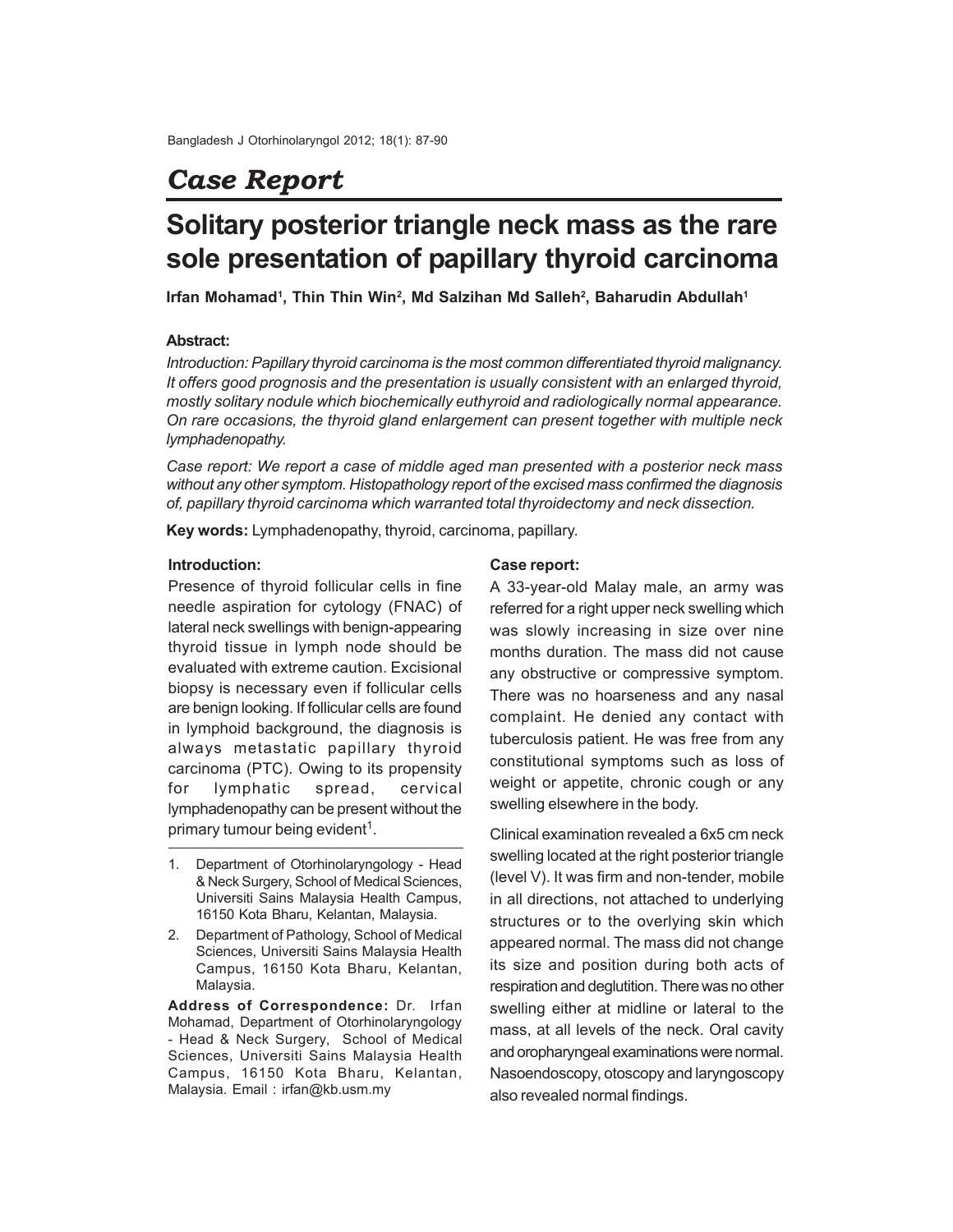## *Case Report*

# **Solitary posterior triangle neck mass as the rare sole presentation of papillary thyroid carcinoma**

**Irfan Mohamad<sup>1</sup> , Thin Thin Win<sup>2</sup> , Md Salzihan Md Salleh<sup>2</sup> , Baharudin Abdullah<sup>1</sup>**

### **Abstract:**

*Introduction: Papillary thyroid carcinoma is the most common differentiated thyroid malignancy. It offers good prognosis and the presentation is usually consistent with an enlarged thyroid, mostly solitary nodule which biochemically euthyroid and radiologically normal appearance. On rare occasions, the thyroid gland enlargement can present together with multiple neck lymphadenopathy.*

*Case report: We report a case of middle aged man presented with a posterior neck mass without any other symptom. Histopathology report of the excised mass confirmed the diagnosis of, papillary thyroid carcinoma which warranted total thyroidectomy and neck dissection.*

**Key words:** Lymphadenopathy, thyroid, carcinoma, papillary.

#### **Introduction:**

Presence of thyroid follicular cells in fine needle aspiration for cytology (FNAC) of lateral neck swellings with benign-appearing thyroid tissue in lymph node should be evaluated with extreme caution. Excisional biopsy is necessary even if follicular cells are benign looking. If follicular cells are found in lymphoid background, the diagnosis is always metastatic papillary thyroid carcinoma (PTC). Owing to its propensity for lymphatic spread, cervical lymphadenopathy can be present without the primary tumour being evident<sup>1</sup>.

- 1. Department of Otorhinolaryngology Head & Neck Surgery, School of Medical Sciences, Universiti Sains Malaysia Health Campus, 16150 Kota Bharu, Kelantan, Malaysia.
- 2. Department of Pathology, School of Medical Sciences, Universiti Sains Malaysia Health Campus, 16150 Kota Bharu, Kelantan, Malaysia.

**Address of Correspondence:** Dr. Irfan Mohamad, Department of Otorhinolaryngology - Head & Neck Surgery, School of Medical Sciences, Universiti Sains Malaysia Health Campus, 16150 Kota Bharu, Kelantan, Malaysia. Email : irfan@kb.usm.my

#### **Case report:**

A 33-year-old Malay male, an army was referred for a right upper neck swelling which was slowly increasing in size over nine months duration. The mass did not cause any obstructive or compressive symptom. There was no hoarseness and any nasal complaint. He denied any contact with tuberculosis patient. He was free from any constitutional symptoms such as loss of weight or appetite, chronic cough or any swelling elsewhere in the body.

Clinical examination revealed a 6x5 cm neck swelling located at the right posterior triangle (level V). It was firm and non-tender, mobile in all directions, not attached to underlying structures or to the overlying skin which appeared normal. The mass did not change its size and position during both acts of respiration and deglutition. There was no other swelling either at midline or lateral to the mass, at all levels of the neck. Oral cavity and oropharyngeal examinations were normal. Nasoendoscopy, otoscopy and laryngoscopy also revealed normal findings.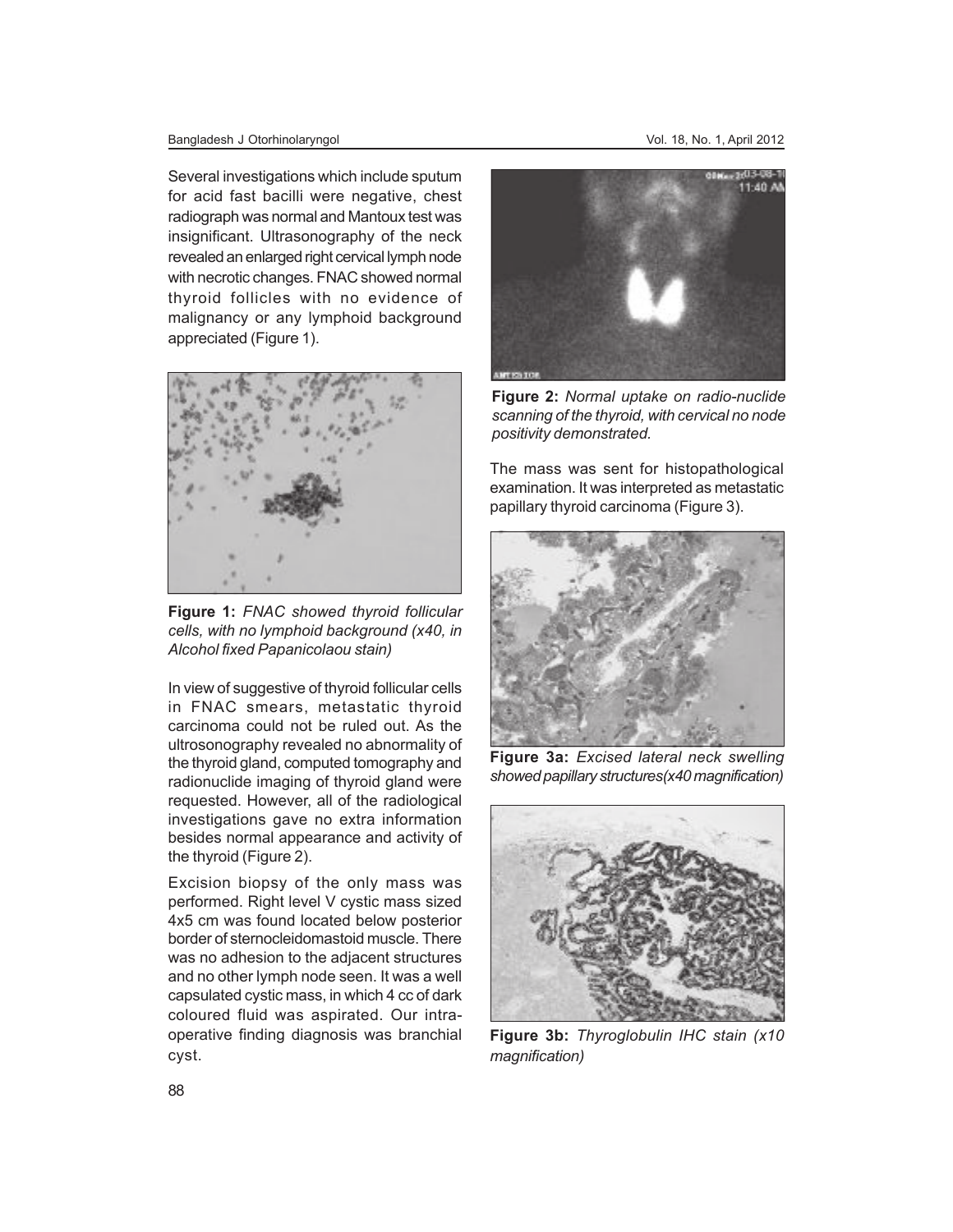#### Bangladesh J Otorhinolaryngol Vol. 18, No. 1, April 2012

Several investigations which include sputum for acid fast bacilli were negative, chest radiograph was normal and Mantoux test was insignificant. Ultrasonography of the neck revealed an enlarged right cervical lymph node with necrotic changes. FNAC showed normal thyroid follicles with no evidence of malignancy or any lymphoid background appreciated (Figure 1).



**Figure 1:** *FNAC showed thyroid follicular cells, with no lymphoid background (x40, in Alcohol fixed Papanicolaou stain)*

In view of suggestive of thyroid follicular cells in FNAC smears, metastatic thyroid carcinoma could not be ruled out. As the ultrosonography revealed no abnormality of the thyroid gland, computed tomography and radionuclide imaging of thyroid gland were requested. However, all of the radiological investigations gave no extra information besides normal appearance and activity of the thyroid (Figure 2).

Excision biopsy of the only mass was performed. Right level V cystic mass sized 4x5 cm was found located below posterior border of sternocleidomastoid muscle. There was no adhesion to the adjacent structures and no other lymph node seen. It was a well capsulated cystic mass, in which 4 cc of dark coloured fluid was aspirated. Our intraoperative finding diagnosis was branchial cyst.



**Figure 2:** *Normal uptake on radio-nuclide scanning of the thyroid, with cervical no node positivity demonstrated.*

The mass was sent for histopathological examination. It was interpreted as metastatic papillary thyroid carcinoma (Figure 3).



**Figure 3a:** *Excised lateral neck swelling showed papillary structures(x40 magnification)*



**Figure 3b:** *Thyroglobulin IHC stain (x10 magnification)*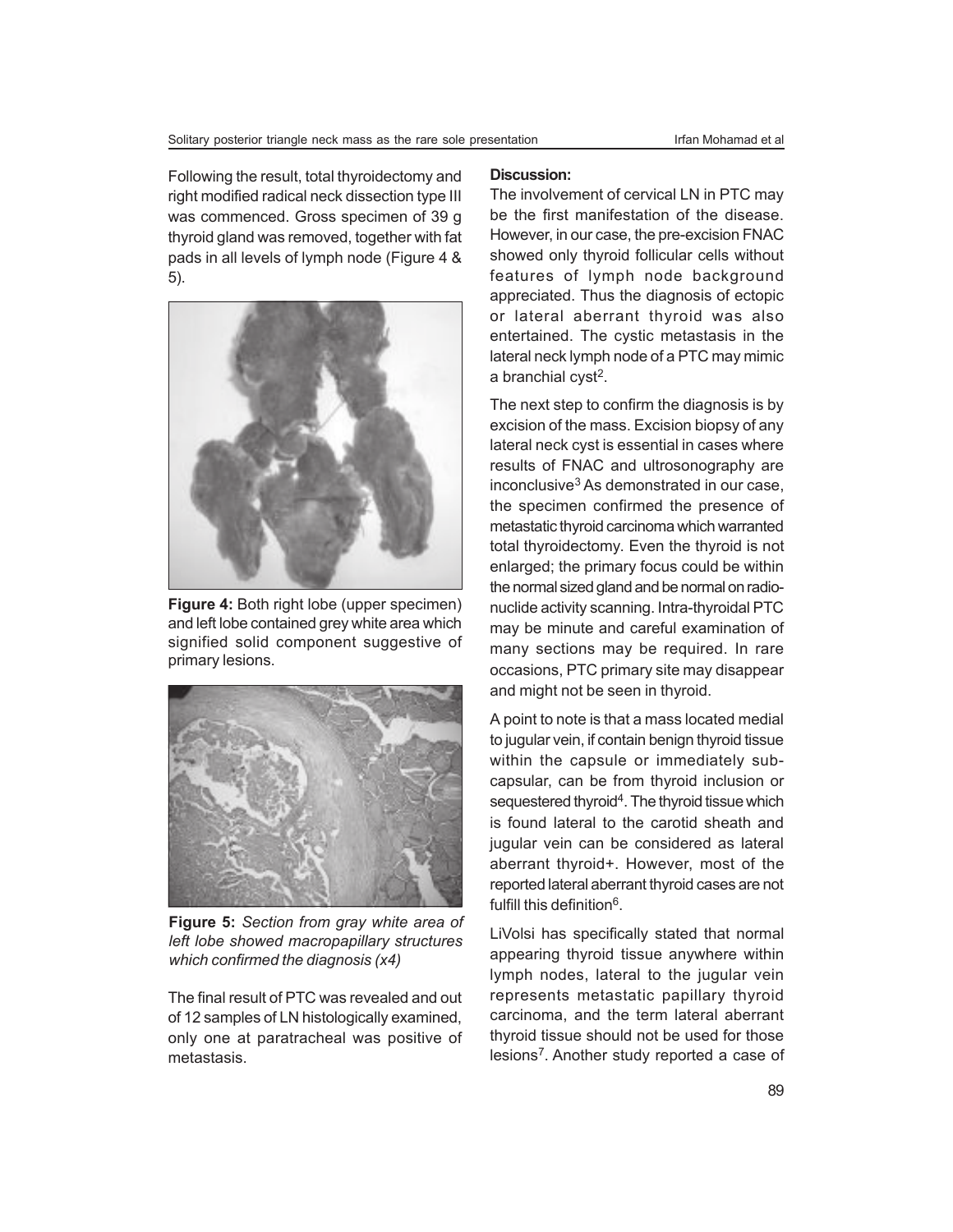Following the result, total thyroidectomy and right modified radical neck dissection type III was commenced. Gross specimen of 39 g thyroid gland was removed, together with fat pads in all levels of lymph node (Figure 4 & 5).



**Figure 4:** Both right lobe (upper specimen) and left lobe contained grey white area which signified solid component suggestive of primary lesions.



**Figure 5:** *Section from gray white area of left lobe showed macropapillary structures which confirmed the diagnosis (x4)*

The final result of PTC was revealed and out of 12 samples of LN histologically examined, only one at paratracheal was positive of metastasis.

#### **Discussion:**

The involvement of cervical LN in PTC may be the first manifestation of the disease. However, in our case, the pre-excision FNAC showed only thyroid follicular cells without features of lymph node background appreciated. Thus the diagnosis of ectopic or lateral aberrant thyroid was also entertained. The cystic metastasis in the lateral neck lymph node of a PTC may mimic a branchial cyst<sup>2</sup>.

The next step to confirm the diagnosis is by excision of the mass. Excision biopsy of any lateral neck cyst is essential in cases where results of FNAC and ultrosonography are inconclusive $3$  As demonstrated in our case, the specimen confirmed the presence of metastatic thyroid carcinoma which warranted total thyroidectomy. Even the thyroid is not enlarged; the primary focus could be within the normal sized gland and be normal on radionuclide activity scanning. Intra-thyroidal PTC may be minute and careful examination of many sections may be required. In rare occasions, PTC primary site may disappear and might not be seen in thyroid.

A point to note is that a mass located medial to jugular vein, if contain benign thyroid tissue within the capsule or immediately subcapsular, can be from thyroid inclusion or sequestered thyroid<sup>4</sup>. The thyroid tissue which is found lateral to the carotid sheath and jugular vein can be considered as lateral aberrant thyroid+. However, most of the reported lateral aberrant thyroid cases are not fulfill this definition<sup>6</sup>.

LiVolsi has specifically stated that normal appearing thyroid tissue anywhere within lymph nodes, lateral to the jugular vein represents metastatic papillary thyroid carcinoma, and the term lateral aberrant thyroid tissue should not be used for those lesions<sup>7</sup>. Another study reported a case of